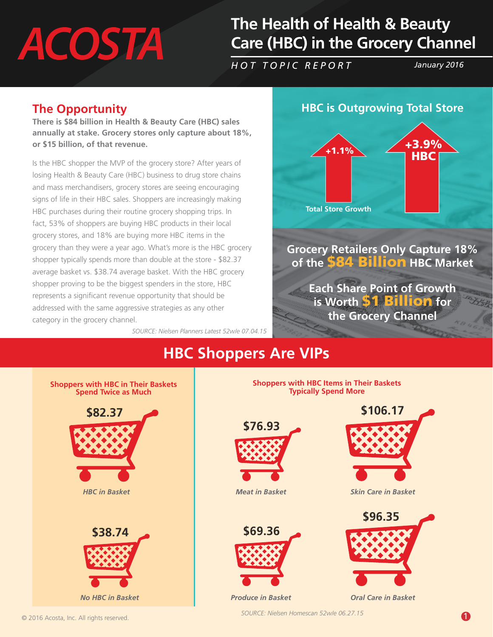# **ACOSTA**

# **The Health of Health & Beauty Care (HBC) in the Grocery Channel**

*HOT TOPIC REPORT January 2016*

#### **The Opportunity**

**There is \$84 billion in Health & Beauty Care (HBC) sales annually at stake. Grocery stores only capture about 18%, or \$15 billion, of that revenue.**

Is the HBC shopper the MVP of the grocery store? After years of losing Health & Beauty Care (HBC) business to drug store chains and mass merchandisers, grocery stores are seeing encouraging signs of life in their HBC sales. Shoppers are increasingly making HBC purchases during their routine grocery shopping trips. In fact, 53% of shoppers are buying HBC products in their local grocery stores, and 18% are buying more HBC items in the grocery than they were a year ago. What's more is the HBC grocery shopper typically spends more than double at the store - \$82.37 average basket vs. \$38.74 average basket. With the HBC grocery shopper proving to be the biggest spenders in the store, HBC represents a significant revenue opportunity that should be addressed with the same aggressive strategies as any other category in the grocery channel.

*SOURCE: Nielsen Planners Latest 52w/e 07.04.15*

#### **HBC is Outgrowing Total Store**



# **HBC Shoppers Are VIPs**

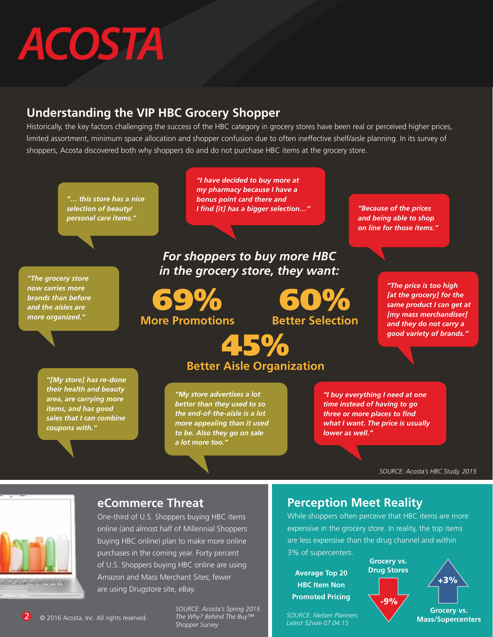# **ACOSTA**

#### **Understanding the VIP HBC Grocery Shopper**

Historically, the key factors challenging the success of the HBC category in grocery stores have been real or perceived higher prices, limited assortment, minimum space allocation and shopper confusion due to often ineffective shelf/aisle planning. In its survey of shoppers, Acosta discovered both why shoppers do and do not purchase HBC items at the grocery store.

![](_page_1_Figure_3.jpeg)

![](_page_1_Picture_4.jpeg)

### **eCommerce Threat**

One-third of U.S. Shoppers buying HBC items online (and almost half of Millennial Shoppers buying HBC online) plan to make more online purchases in the coming year. Forty percent of U.S. Shoppers buying HBC online are using Amazon and Mass Merchant Sites; fewer are using Drugstore site, eBay.

 $\overline{2}$   $\circ$  2016 Acosta, Inc. All rights reserved.

*SOURCE: Acosta's Spring 2015 The Why? Behind The Buy™ Shopper Survey*

### **Perception Meet Reality**

While shoppers often perceive that HBC items are more expensive in the grocery store. In reality, the top items are less expensive than the drug channel and within 3% of supercenters.

**Average Top 20 HBC Item Non Promoted Pricing**

*SOURCE: Nielsen Planners Latest 52w/e 07.04.15*

![](_page_1_Figure_13.jpeg)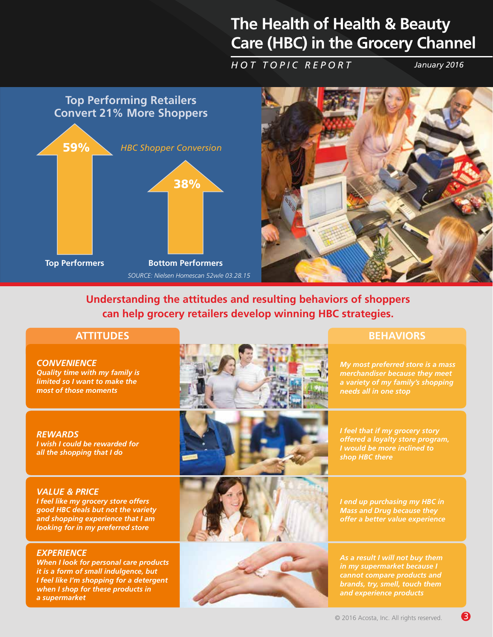### **The Health of Health & Beauty Care (HBC) in the Grocery Channel**

*HOT TOPIC REPORT January 2016*

![](_page_2_Figure_3.jpeg)

![](_page_2_Picture_4.jpeg)

**Understanding the attitudes and resulting behaviors of shoppers can help grocery retailers develop winning HBC strategies.** 

*CONVENIENCE Quality time with my family is limited so I want to make the most of those moments*

*REWARDS I wish I could be rewarded for all the shopping that I do*

#### *VALUE & PRICE*

*I feel like my grocery store offers good HBC deals but not the variety and shopping experience that I am looking for in my preferred store*

#### *EXPERIENCE*

*When I look for personal care products it is a form of small indulgence, but I feel like I'm shopping for a detergent when I shop for these products in a supermarket*

![](_page_2_Picture_13.jpeg)

![](_page_2_Picture_14.jpeg)

![](_page_2_Picture_15.jpeg)

*I end up purchasing my HBC in Mass and Drug because they* 

*offer a better value experience*

*I feel that if my grocery story offered a loyalty store program, I would be more inclined to* 

*shop HBC there*

![](_page_2_Picture_17.jpeg)

*As a result I will not buy them in my supermarket because I cannot compare products and brands, try, smell, touch them and experience products*

#### **ATTITUDES BEHAVIORS**

*My most preferred store is a mass merchandiser because they meet a variety of my family's shopping needs all in one stop*